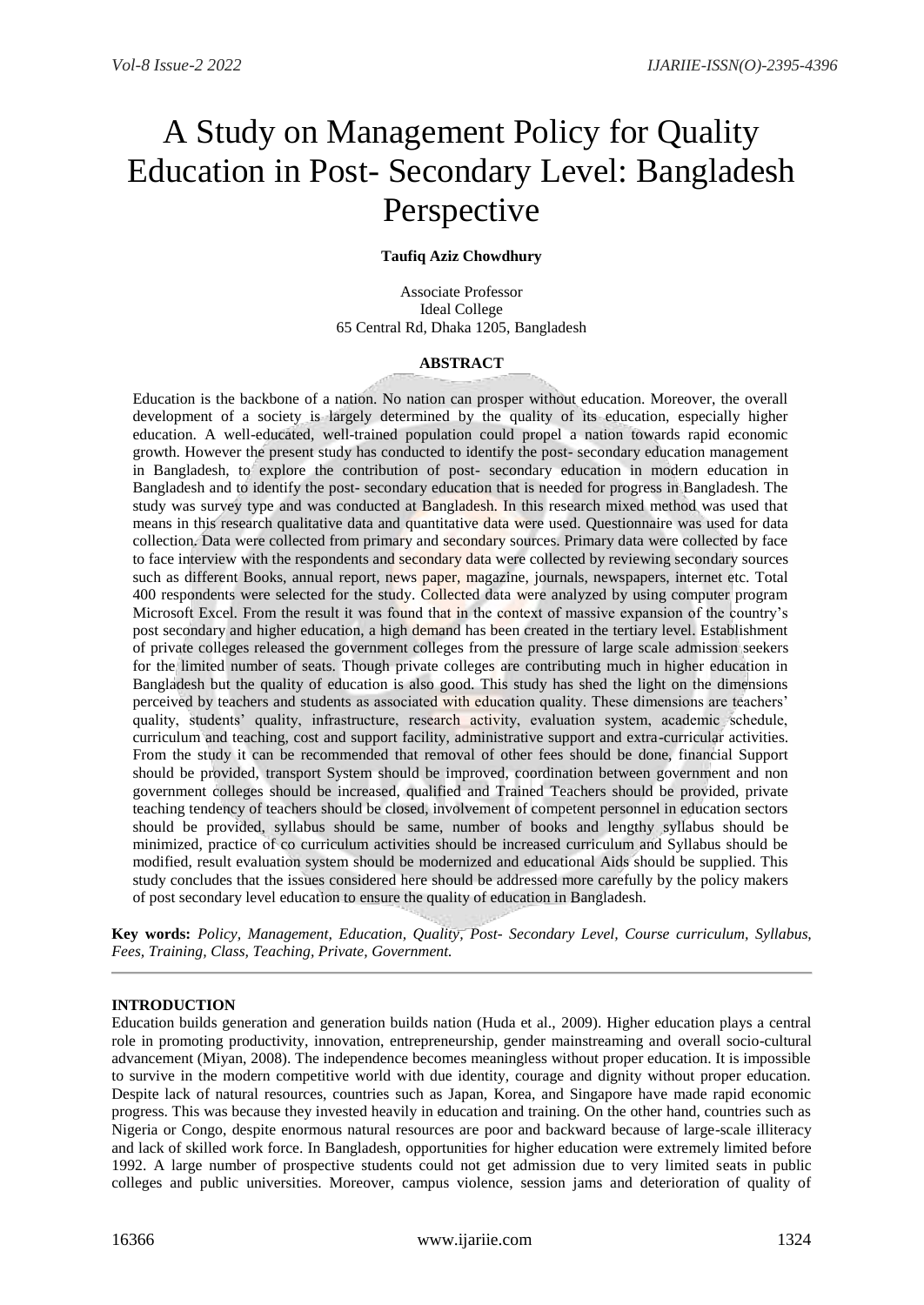# A Study on Management Policy for Quality Education in Post- Secondary Level: Bangladesh Perspective

# **Taufiq Aziz Chowdhury**

Associate Professor Ideal College 65 Central Rd, Dhaka 1205, Bangladesh

### **ABSTRACT**

Education is the backbone of a nation. No nation can prosper without education. Moreover, the overall development of a society is largely determined by the quality of its education, especially higher education. A well-educated, well-trained population could propel a nation towards rapid economic growth. However the present study has conducted to identify the post- secondary education management in Bangladesh, to explore the contribution of post- secondary education in modern education in Bangladesh and to identify the post- secondary education that is needed for progress in Bangladesh. The study was survey type and was conducted at Bangladesh. In this research mixed method was used that means in this research qualitative data and quantitative data were used. Questionnaire was used for data collection. Data were collected from primary and secondary sources. Primary data were collected by face to face interview with the respondents and secondary data were collected by reviewing secondary sources such as different Books, annual report, news paper, magazine, journals, newspapers, internet etc. Total 400 respondents were selected for the study. Collected data were analyzed by using computer program Microsoft Excel. From the result it was found that in the context of massive expansion of the country's post secondary and higher education, a high demand has been created in the tertiary level. Establishment of private colleges released the government colleges from the pressure of large scale admission seekers for the limited number of seats. Though private colleges are contributing much in higher education in Bangladesh but the quality of education is also good. This study has shed the light on the dimensions perceived by teachers and students as associated with education quality. These dimensions are teachers' quality, students' quality, infrastructure, research activity, evaluation system, academic schedule, curriculum and teaching, cost and support facility, administrative support and extra-curricular activities. From the study it can be recommended that removal of other fees should be done, financial Support should be provided, transport System should be improved, coordination between government and non government colleges should be increased, qualified and Trained Teachers should be provided, private teaching tendency of teachers should be closed, involvement of competent personnel in education sectors should be provided, syllabus should be same, number of books and lengthy syllabus should be minimized, practice of co curriculum activities should be increased curriculum and Syllabus should be modified, result evaluation system should be modernized and educational Aids should be supplied. This study concludes that the issues considered here should be addressed more carefully by the policy makers of post secondary level education to ensure the quality of education in Bangladesh.

**Key words:** *Policy, Management, Education, Quality, Post- Secondary Level, Course curriculum, Syllabus, Fees, Training, Class, Teaching, Private, Government.*

# **INTRODUCTION**

Education builds generation and generation builds nation (Huda et al., 2009). Higher education plays a central role in promoting productivity, innovation, entrepreneurship, gender mainstreaming and overall socio-cultural advancement (Miyan, 2008). The independence becomes meaningless without proper education. It is impossible to survive in the modern competitive world with due identity, courage and dignity without proper education. Despite lack of natural resources, countries such as Japan, Korea, and Singapore have made rapid economic progress. This was because they invested heavily in education and training. On the other hand, countries such as Nigeria or Congo, despite enormous natural resources are poor and backward because of large-scale illiteracy and lack of skilled work force. In Bangladesh, opportunities for higher education were extremely limited before 1992. A large number of prospective students could not get admission due to very limited seats in public colleges and public universities. Moreover, campus violence, session jams and deterioration of quality of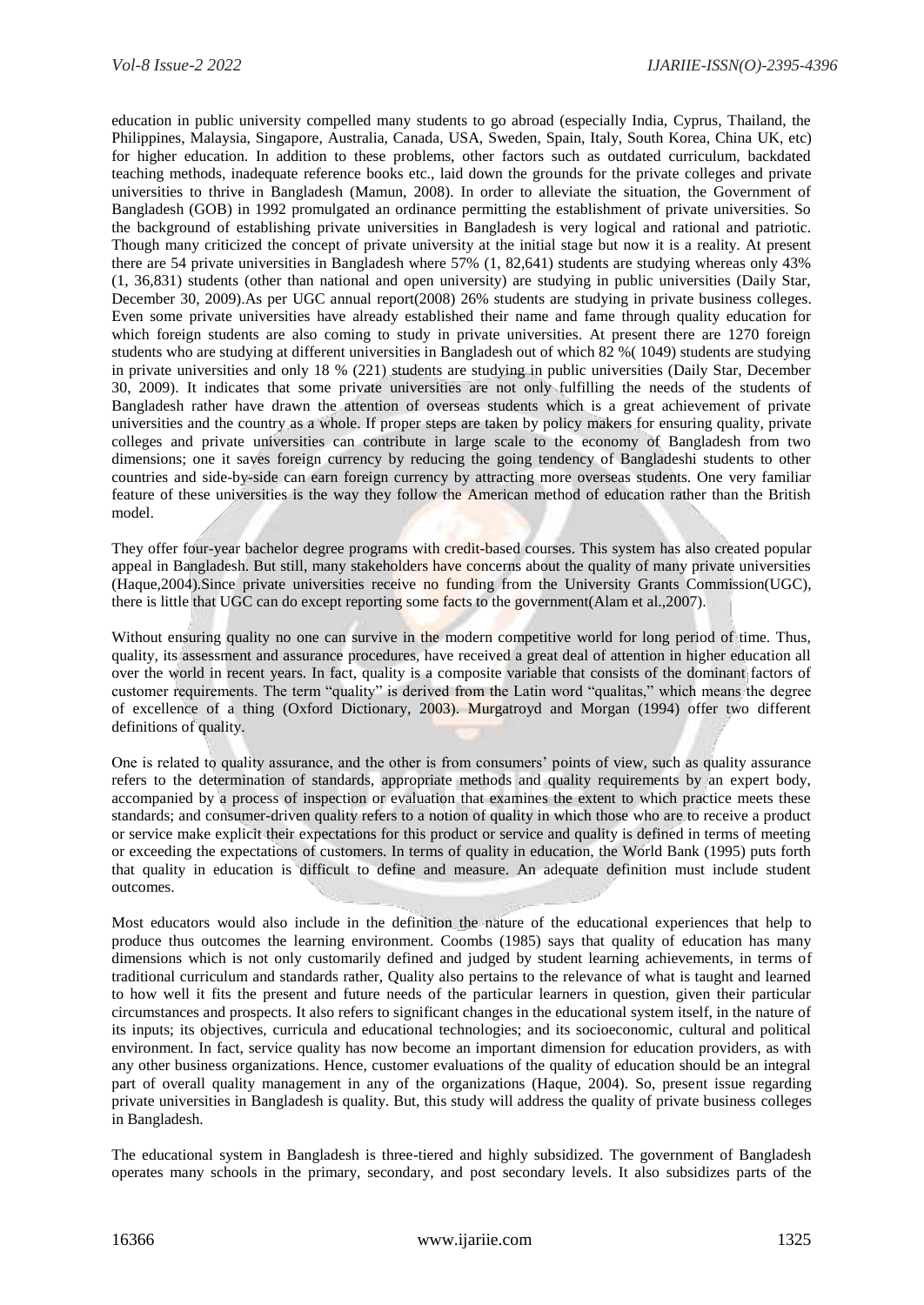education in public university compelled many students to go abroad (especially India, Cyprus, Thailand, the Philippines, Malaysia, Singapore, Australia, Canada, USA, Sweden, Spain, Italy, South Korea, China UK, etc) for higher education. In addition to these problems, other factors such as outdated curriculum, backdated teaching methods, inadequate reference books etc., laid down the grounds for the private colleges and private universities to thrive in Bangladesh (Mamun, 2008). In order to alleviate the situation, the Government of Bangladesh (GOB) in 1992 promulgated an ordinance permitting the establishment of private universities. So the background of establishing private universities in Bangladesh is very logical and rational and patriotic. Though many criticized the concept of private university at the initial stage but now it is a reality. At present there are 54 private universities in Bangladesh where 57% (1, 82,641) students are studying whereas only 43% (1, 36,831) students (other than national and open university) are studying in public universities (Daily Star, December 30, 2009).As per UGC annual report(2008) 26% students are studying in private business colleges. Even some private universities have already established their name and fame through quality education for which foreign students are also coming to study in private universities. At present there are 1270 foreign students who are studying at different universities in Bangladesh out of which 82 %( 1049) students are studying in private universities and only 18 % (221) students are studying in public universities (Daily Star, December 30, 2009). It indicates that some private universities are not only fulfilling the needs of the students of Bangladesh rather have drawn the attention of overseas students which is a great achievement of private universities and the country as a whole. If proper steps are taken by policy makers for ensuring quality, private colleges and private universities can contribute in large scale to the economy of Bangladesh from two dimensions; one it saves foreign currency by reducing the going tendency of Bangladeshi students to other countries and side-by-side can earn foreign currency by attracting more overseas students. One very familiar feature of these universities is the way they follow the American method of education rather than the British model.

They offer four-year bachelor degree programs with credit-based courses. This system has also created popular appeal in Bangladesh. But still, many stakeholders have concerns about the quality of many private universities (Haque,2004).Since private universities receive no funding from the University Grants Commission(UGC), there is little that UGC can do except reporting some facts to the government(Alam et al.,2007).

Without ensuring quality no one can survive in the modern competitive world for long period of time. Thus, quality, its assessment and assurance procedures, have received a great deal of attention in higher education all over the world in recent years. In fact, quality is a composite variable that consists of the dominant factors of customer requirements. The term "quality" is derived from the Latin word "qualitas," which means the degree of excellence of a thing (Oxford Dictionary, 2003). Murgatroyd and Morgan (1994) offer two different definitions of quality.

One is related to quality assurance, and the other is from consumers' points of view, such as quality assurance refers to the determination of standards, appropriate methods and quality requirements by an expert body, accompanied by a process of inspection or evaluation that examines the extent to which practice meets these standards; and consumer-driven quality refers to a notion of quality in which those who are to receive a product or service make explicit their expectations for this product or service and quality is defined in terms of meeting or exceeding the expectations of customers. In terms of quality in education, the World Bank (1995) puts forth that quality in education is difficult to define and measure. An adequate definition must include student outcomes.

Most educators would also include in the definition the nature of the educational experiences that help to produce thus outcomes the learning environment. Coombs (1985) says that quality of education has many dimensions which is not only customarily defined and judged by student learning achievements, in terms of traditional curriculum and standards rather, Quality also pertains to the relevance of what is taught and learned to how well it fits the present and future needs of the particular learners in question, given their particular circumstances and prospects. It also refers to significant changes in the educational system itself, in the nature of its inputs; its objectives, curricula and educational technologies; and its socioeconomic, cultural and political environment. In fact, service quality has now become an important dimension for education providers, as with any other business organizations. Hence, customer evaluations of the quality of education should be an integral part of overall quality management in any of the organizations (Haque, 2004). So, present issue regarding private universities in Bangladesh is quality. But, this study will address the quality of private business colleges in Bangladesh.

The educational system in Bangladesh is three-tiered and highly subsidized. The government of Bangladesh operates many schools in the primary, secondary, and post secondary levels. It also subsidizes parts of the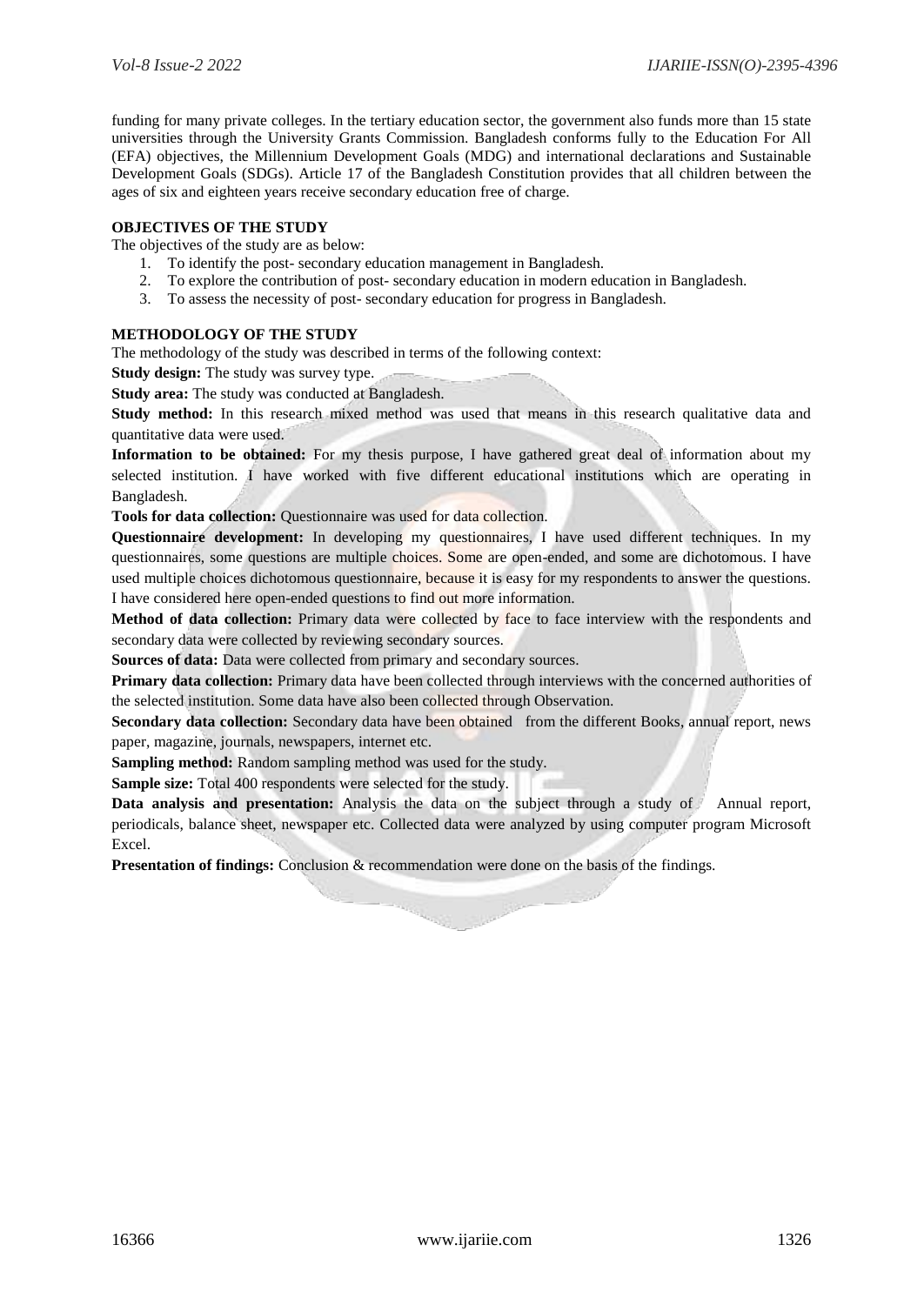funding for many private colleges. In the tertiary education sector, the government also funds more than 15 state universities through the University Grants Commission. Bangladesh conforms fully to the Education For All (EFA) objectives, the Millennium Development Goals (MDG) and international declarations and Sustainable Development Goals (SDGs). Article 17 of the Bangladesh Constitution provides that all children between the ages of six and eighteen years receive secondary education free of charge.

# **OBJECTIVES OF THE STUDY**

The objectives of the study are as below:

- 1. To identify the post- secondary education management in Bangladesh.
- 2. To explore the contribution of post- secondary education in modern education in Bangladesh.
- 3. To assess the necessity of post- secondary education for progress in Bangladesh.

# **METHODOLOGY OF THE STUDY**

The methodology of the study was described in terms of the following context:

**Study design:** The study was survey type.

**Study area:** The study was conducted at Bangladesh.

**Study method:** In this research mixed method was used that means in this research qualitative data and quantitative data were used.

**Information to be obtained:** For my thesis purpose, I have gathered great deal of information about my selected institution. I have worked with five different educational institutions which are operating in Bangladesh.

**Tools for data collection:** Questionnaire was used for data collection.

**Questionnaire development:** In developing my questionnaires, I have used different techniques. In my questionnaires, some questions are multiple choices. Some are open-ended, and some are dichotomous. I have used multiple choices dichotomous questionnaire, because it is easy for my respondents to answer the questions. I have considered here open-ended questions to find out more information.

**Method of data collection:** Primary data were collected by face to face interview with the respondents and secondary data were collected by reviewing secondary sources.

**Sources of data:** Data were collected from primary and secondary sources.

**Primary data collection:** Primary data have been collected through interviews with the concerned authorities of the selected institution. Some data have also been collected through Observation.

**Secondary data collection:** Secondary data have been obtained from the different Books, annual report, news paper, magazine, journals, newspapers, internet etc.

**Sampling method:** Random sampling method was used for the study.

**Sample size:** Total 400 respondents were selected for the study.

**Data analysis and presentation:** Analysis the data on the subject through a study of Annual report, periodicals, balance sheet, newspaper etc. Collected data were analyzed by using computer program Microsoft Excel.

**Presentation of findings:** Conclusion & recommendation were done on the basis of the findings.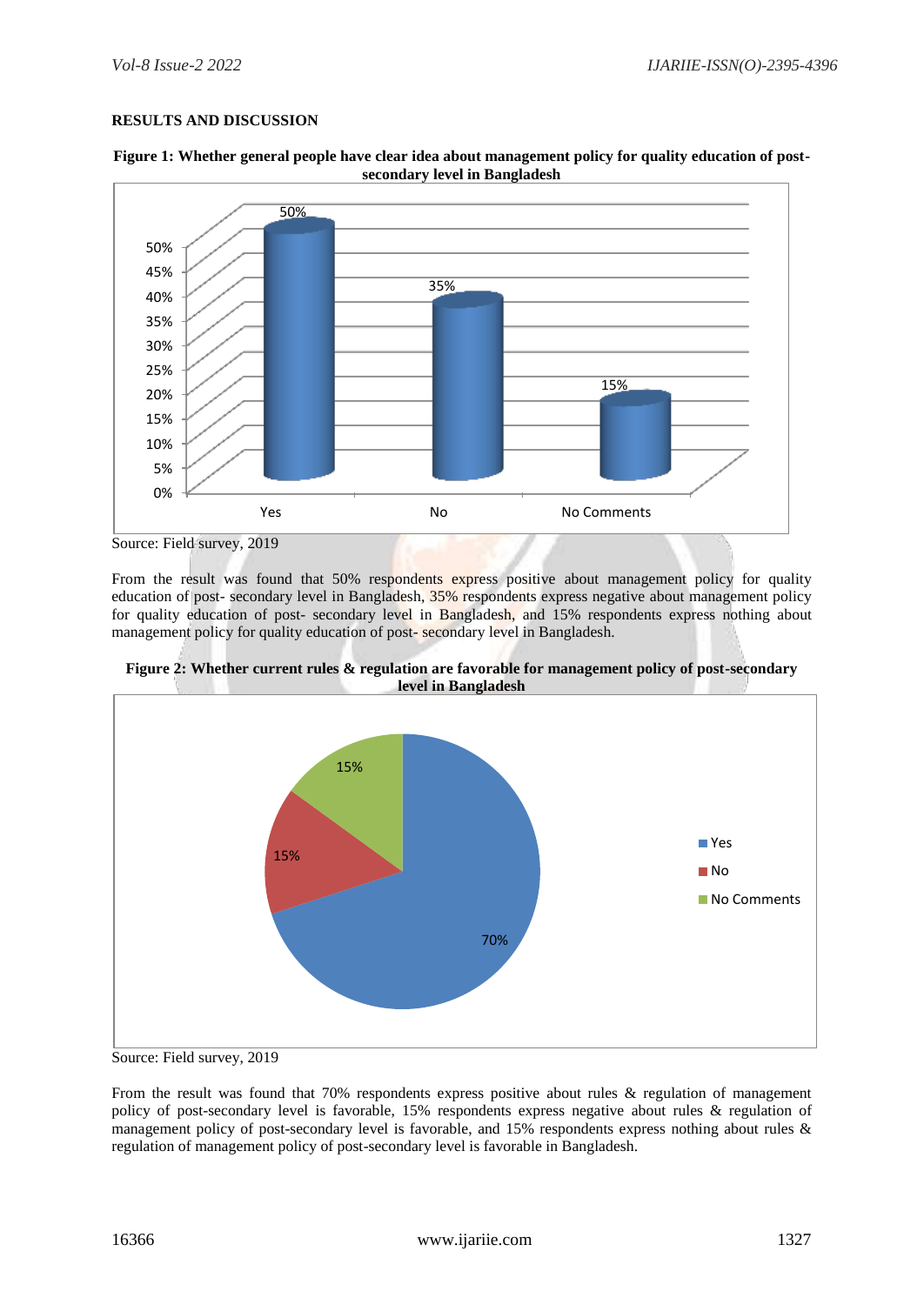# **RESULTS AND DISCUSSION**





From the result was found that 50% respondents express positive about management policy for quality education of post- secondary level in Bangladesh, 35% respondents express negative about management policy for quality education of post- secondary level in Bangladesh, and 15% respondents express nothing about management policy for quality education of post- secondary level in Bangladesh.





Source: Field survey, 2019

From the result was found that 70% respondents express positive about rules & regulation of management policy of post-secondary level is favorable, 15% respondents express negative about rules & regulation of management policy of post-secondary level is favorable, and 15% respondents express nothing about rules & regulation of management policy of post-secondary level is favorable in Bangladesh.

Source: Field survey, 2019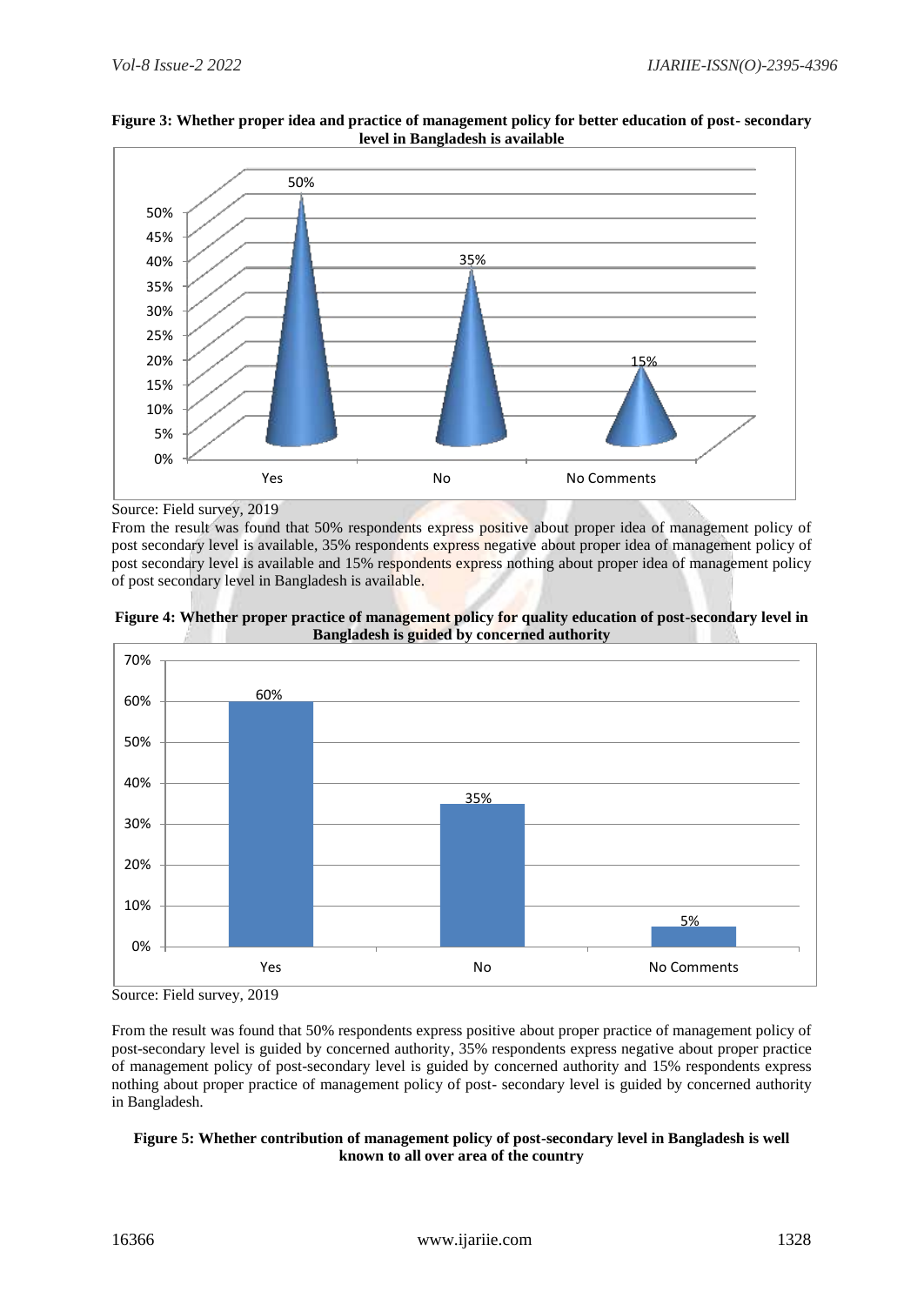

# **Figure 3: Whether proper idea and practice of management policy for better education of post- secondary level in Bangladesh is available**

Source: Field survey, 2019

From the result was found that 50% respondents express positive about proper idea of management policy of post secondary level is available, 35% respondents express negative about proper idea of management policy of post secondary level is available and 15% respondents express nothing about proper idea of management policy of post secondary level in Bangladesh is available.





Source: Field survey, 2019

From the result was found that 50% respondents express positive about proper practice of management policy of post-secondary level is guided by concerned authority, 35% respondents express negative about proper practice of management policy of post-secondary level is guided by concerned authority and 15% respondents express nothing about proper practice of management policy of post- secondary level is guided by concerned authority in Bangladesh.

# **Figure 5: Whether contribution of management policy of post-secondary level in Bangladesh is well known to all over area of the country**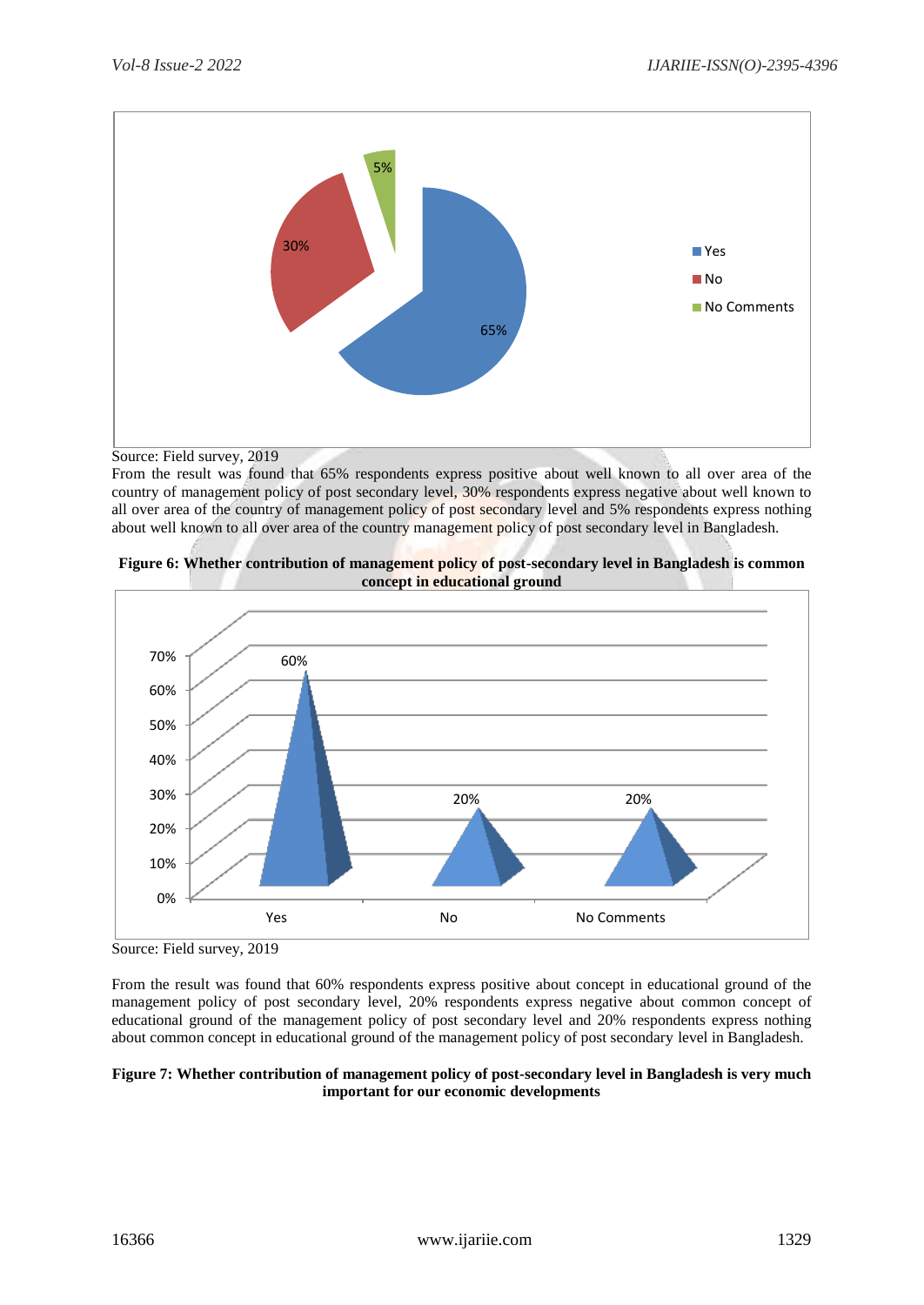

Source: Field survey, 2019

From the result was found that 65% respondents express positive about well known to all over area of the country of management policy of post secondary level, 30% respondents express negative about well known to all over area of the country of management policy of post secondary level and 5% respondents express nothing about well known to all over area of the country management policy of post secondary level in Bangladesh.



**Figure 6: Whether contribution of management policy of post-secondary level in Bangladesh is common concept in educational ground** 

From the result was found that 60% respondents express positive about concept in educational ground of the management policy of post secondary level, 20% respondents express negative about common concept of educational ground of the management policy of post secondary level and 20% respondents express nothing about common concept in educational ground of the management policy of post secondary level in Bangladesh.

#### **Figure 7: Whether contribution of management policy of post-secondary level in Bangladesh is very much important for our economic developments**

Source: Field survey, 2019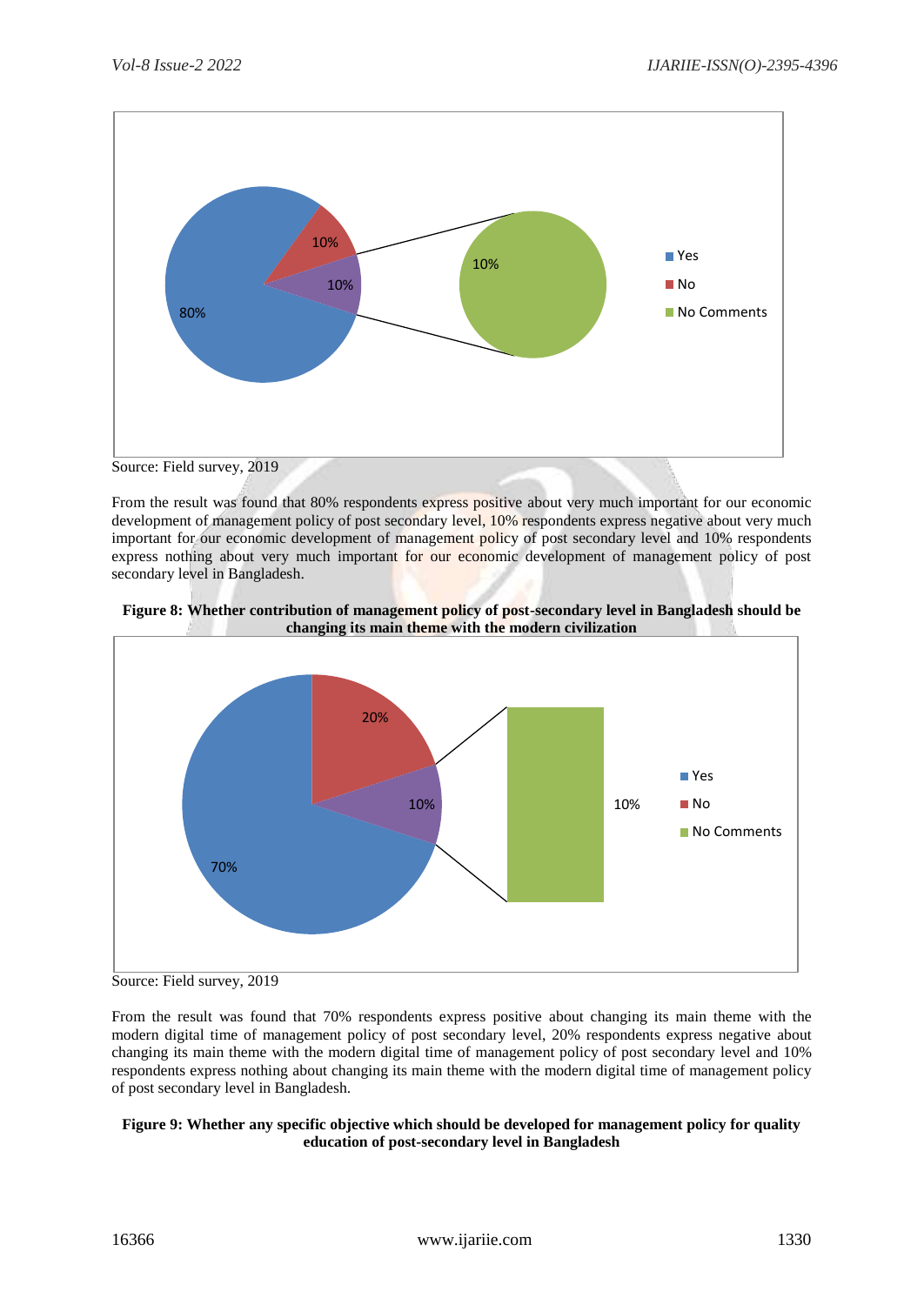

From the result was found that 80% respondents express positive about very much important for our economic development of management policy of post secondary level, 10% respondents express negative about very much important for our economic development of management policy of post secondary level and 10% respondents express nothing about very much important for our economic development of management policy of post secondary level in Bangladesh.





Source: Field survey, 2019

From the result was found that 70% respondents express positive about changing its main theme with the modern digital time of management policy of post secondary level, 20% respondents express negative about changing its main theme with the modern digital time of management policy of post secondary level and 10% respondents express nothing about changing its main theme with the modern digital time of management policy of post secondary level in Bangladesh.

# **Figure 9: Whether any specific objective which should be developed for management policy for quality education of post-secondary level in Bangladesh**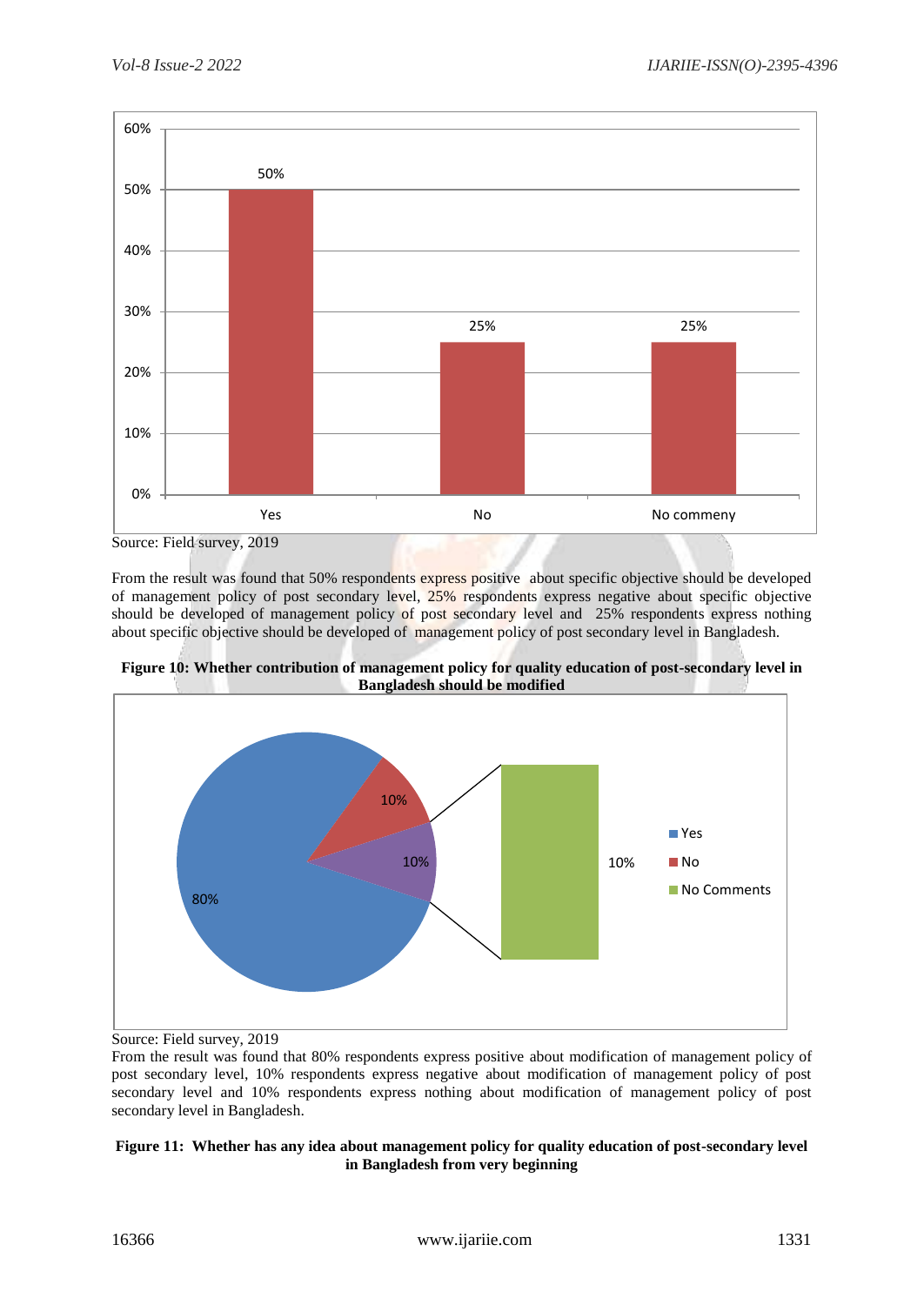

From the result was found that 50% respondents express positive about specific objective should be developed of management policy of post secondary level, 25% respondents express negative about specific objective should be developed of management policy of post secondary level and 25% respondents express nothing about specific objective should be developed of management policy of post secondary level in Bangladesh.





Source: Field survey, 2019

From the result was found that 80% respondents express positive about modification of management policy of post secondary level, 10% respondents express negative about modification of management policy of post secondary level and 10% respondents express nothing about modification of management policy of post secondary level in Bangladesh.

# **Figure 11: Whether has any idea about management policy for quality education of post-secondary level in Bangladesh from very beginning**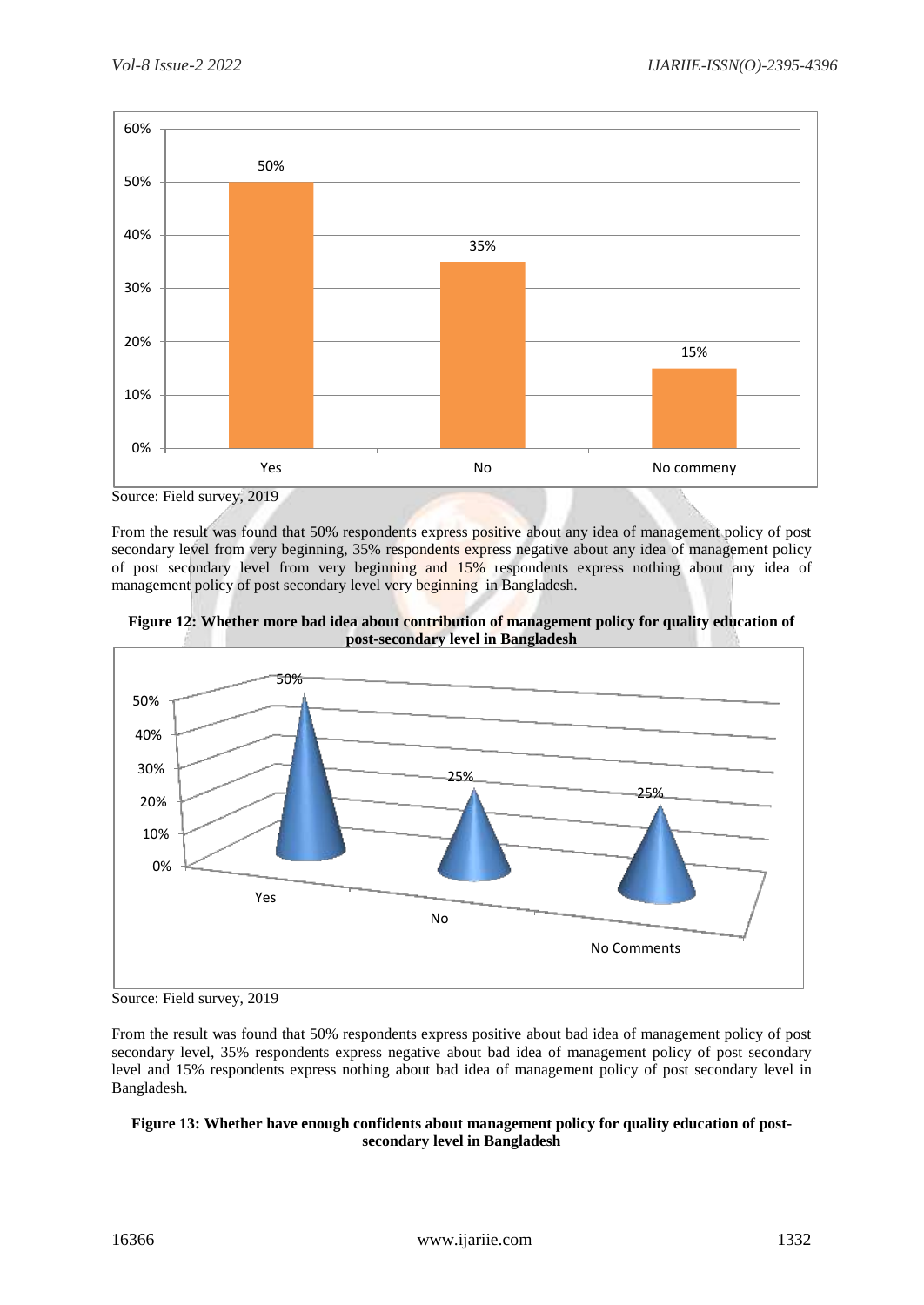

Source: Field survey, 2019

From the result was found that 50% respondents express positive about any idea of management policy of post secondary level from very beginning, 35% respondents express negative about any idea of management policy of post secondary level from very beginning and 15% respondents express nothing about any idea of management policy of post secondary level very beginning in Bangladesh.



**Figure 12: Whether more bad idea about contribution of management policy for quality education of post-secondary level in Bangladesh**

From the result was found that 50% respondents express positive about bad idea of management policy of post secondary level, 35% respondents express negative about bad idea of management policy of post secondary level and 15% respondents express nothing about bad idea of management policy of post secondary level in Bangladesh.

# **Figure 13: Whether have enough confidents about management policy for quality education of postsecondary level in Bangladesh**

Source: Field survey, 2019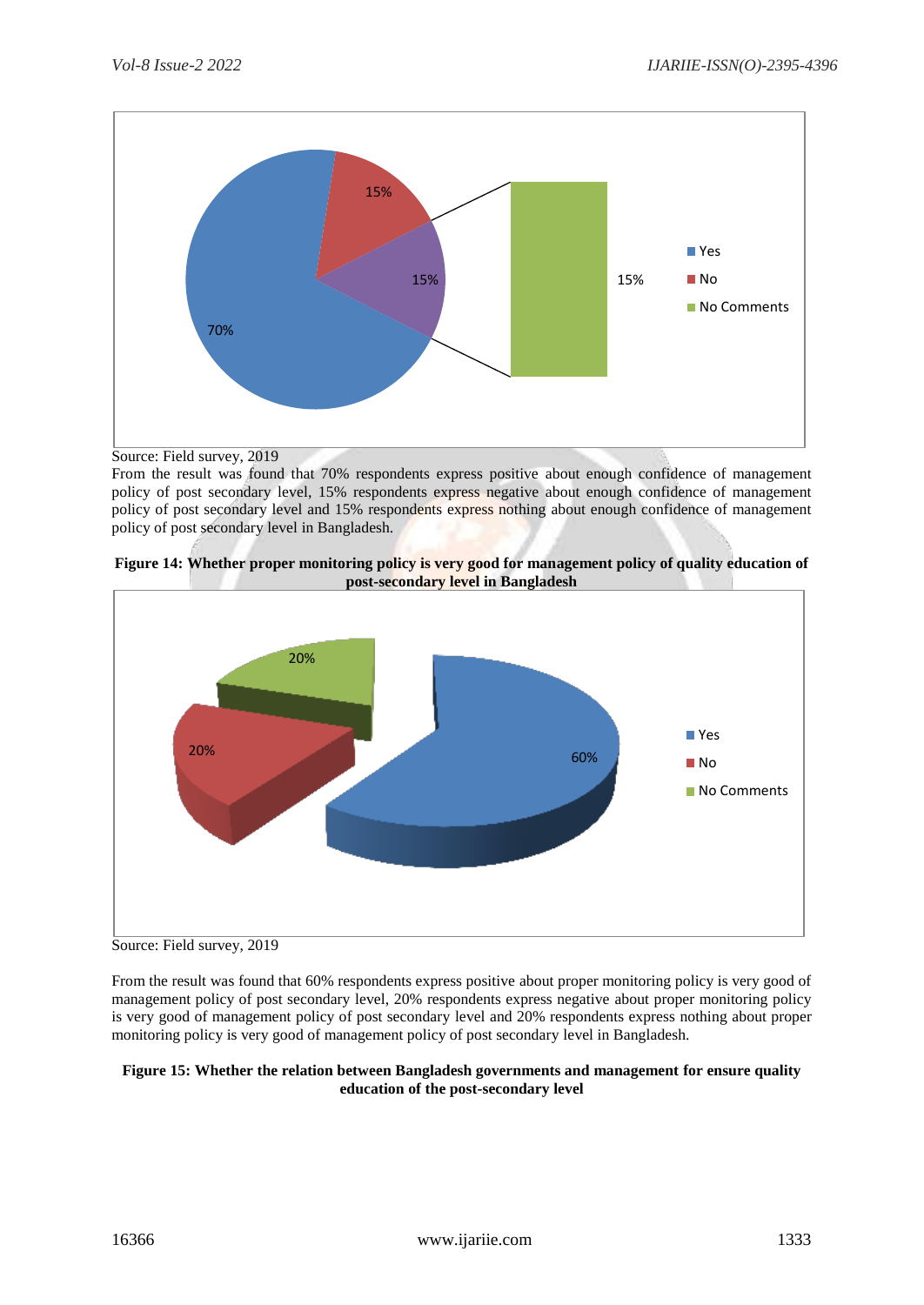

Source: Field survey, 2019

From the result was found that 70% respondents express positive about enough confidence of management policy of post secondary level, 15% respondents express negative about enough confidence of management policy of post secondary level and 15% respondents express nothing about enough confidence of management policy of post secondary level in Bangladesh.





Source: Field survey, 2019

From the result was found that 60% respondents express positive about proper monitoring policy is very good of management policy of post secondary level, 20% respondents express negative about proper monitoring policy is very good of management policy of post secondary level and 20% respondents express nothing about proper monitoring policy is very good of management policy of post secondary level in Bangladesh.

# **Figure 15: Whether the relation between Bangladesh governments and management for ensure quality education of the post-secondary level**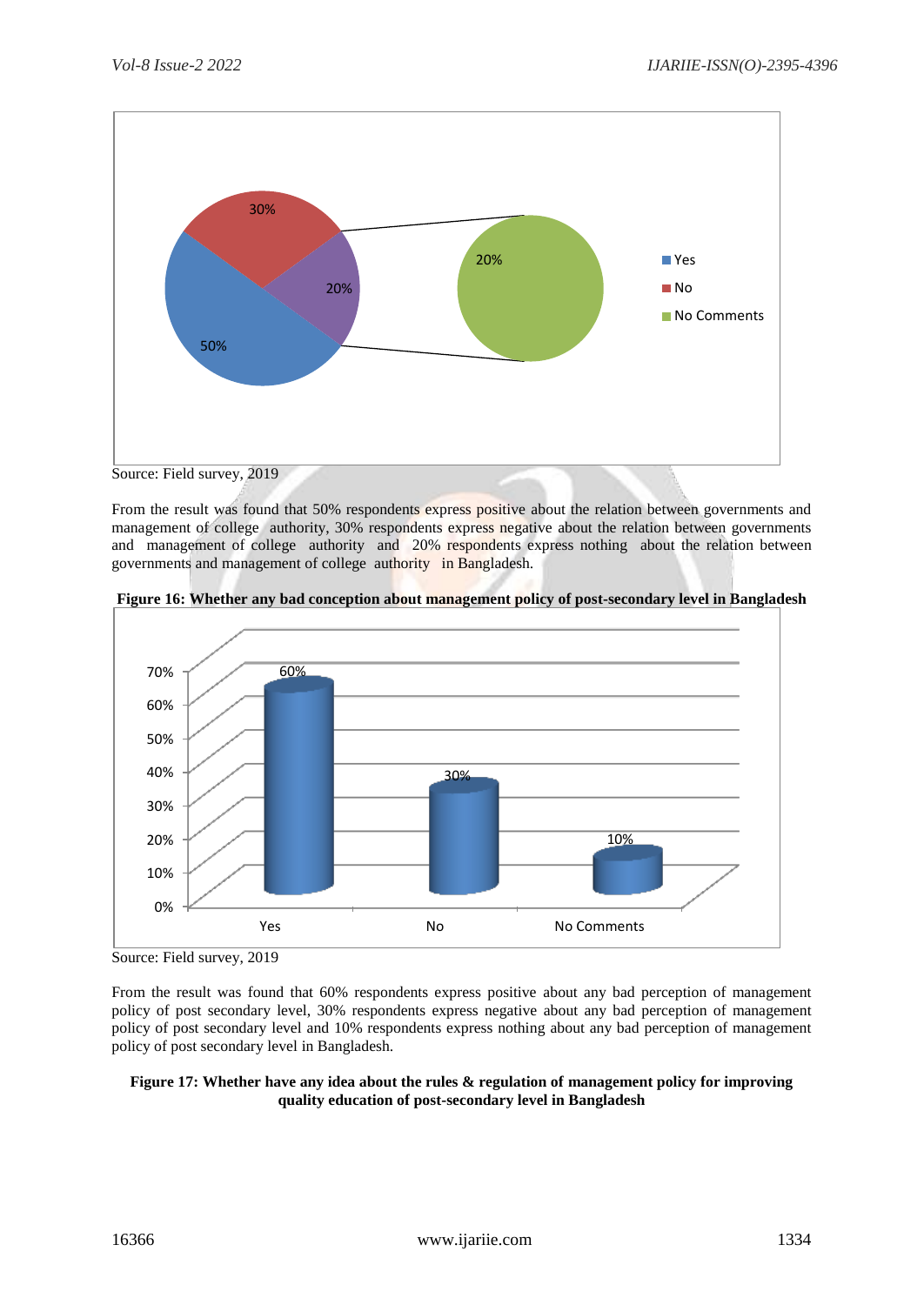

From the result was found that 50% respondents express positive about the relation between governments and management of college authority, 30% respondents express negative about the relation between governments and management of college authority and 20% respondents express nothing about the relation between governments and management of college authority in Bangladesh.





From the result was found that 60% respondents express positive about any bad perception of management policy of post secondary level, 30% respondents express negative about any bad perception of management policy of post secondary level and 10% respondents express nothing about any bad perception of management policy of post secondary level in Bangladesh.

#### **Figure 17: Whether have any idea about the rules & regulation of management policy for improving quality education of post-secondary level in Bangladesh**

Source: Field survey, 2019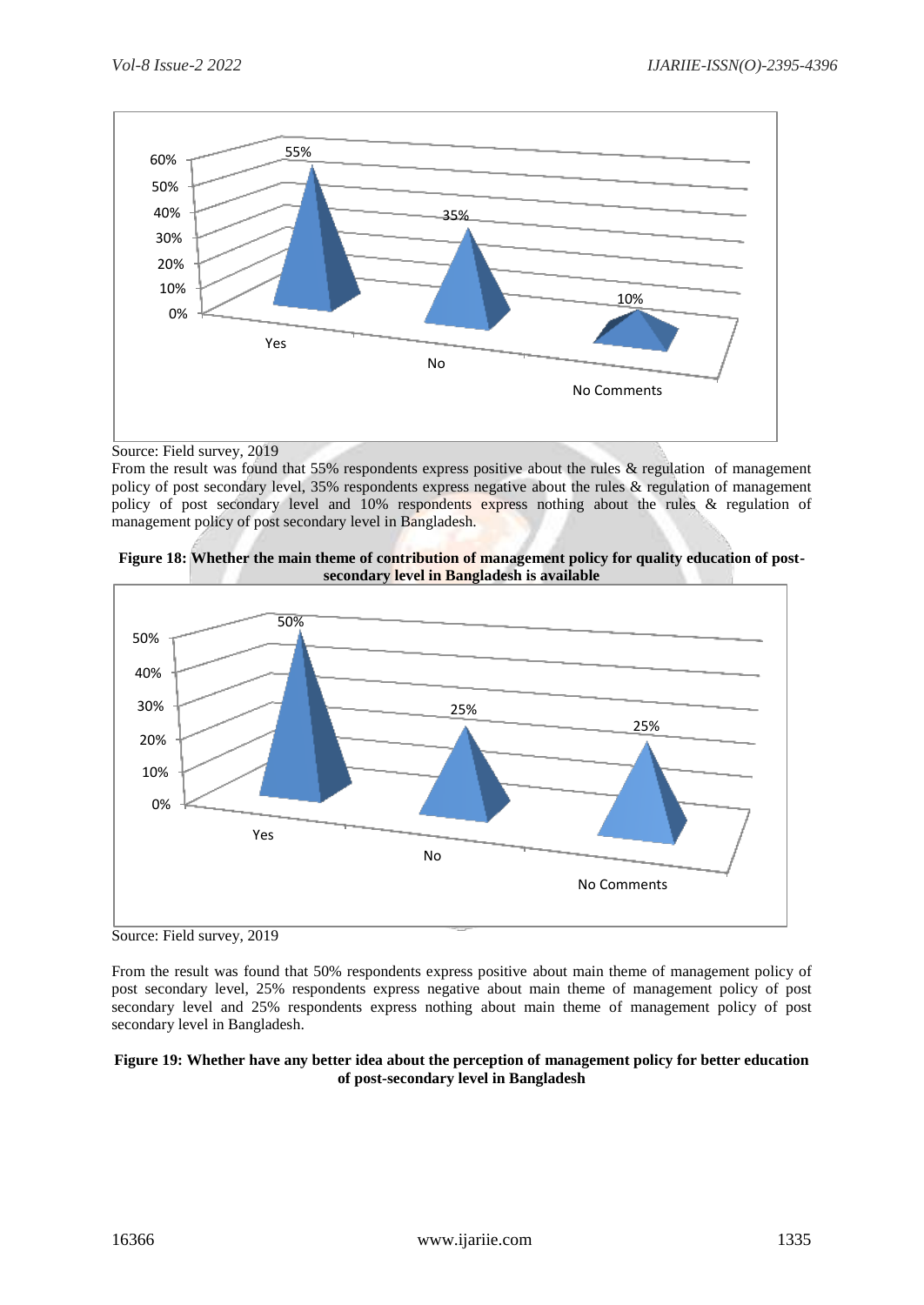

Source: Field survey, 2019

From the result was found that 55% respondents express positive about the rules & regulation of management policy of post secondary level, 35% respondents express negative about the rules & regulation of management policy of post secondary level and 10% respondents express nothing about the rules & regulation of management policy of post secondary level in Bangladesh.





Source: Field survey, 2019

From the result was found that 50% respondents express positive about main theme of management policy of post secondary level, 25% respondents express negative about main theme of management policy of post secondary level and 25% respondents express nothing about main theme of management policy of post secondary level in Bangladesh.

### **Figure 19: Whether have any better idea about the perception of management policy for better education of post-secondary level in Bangladesh**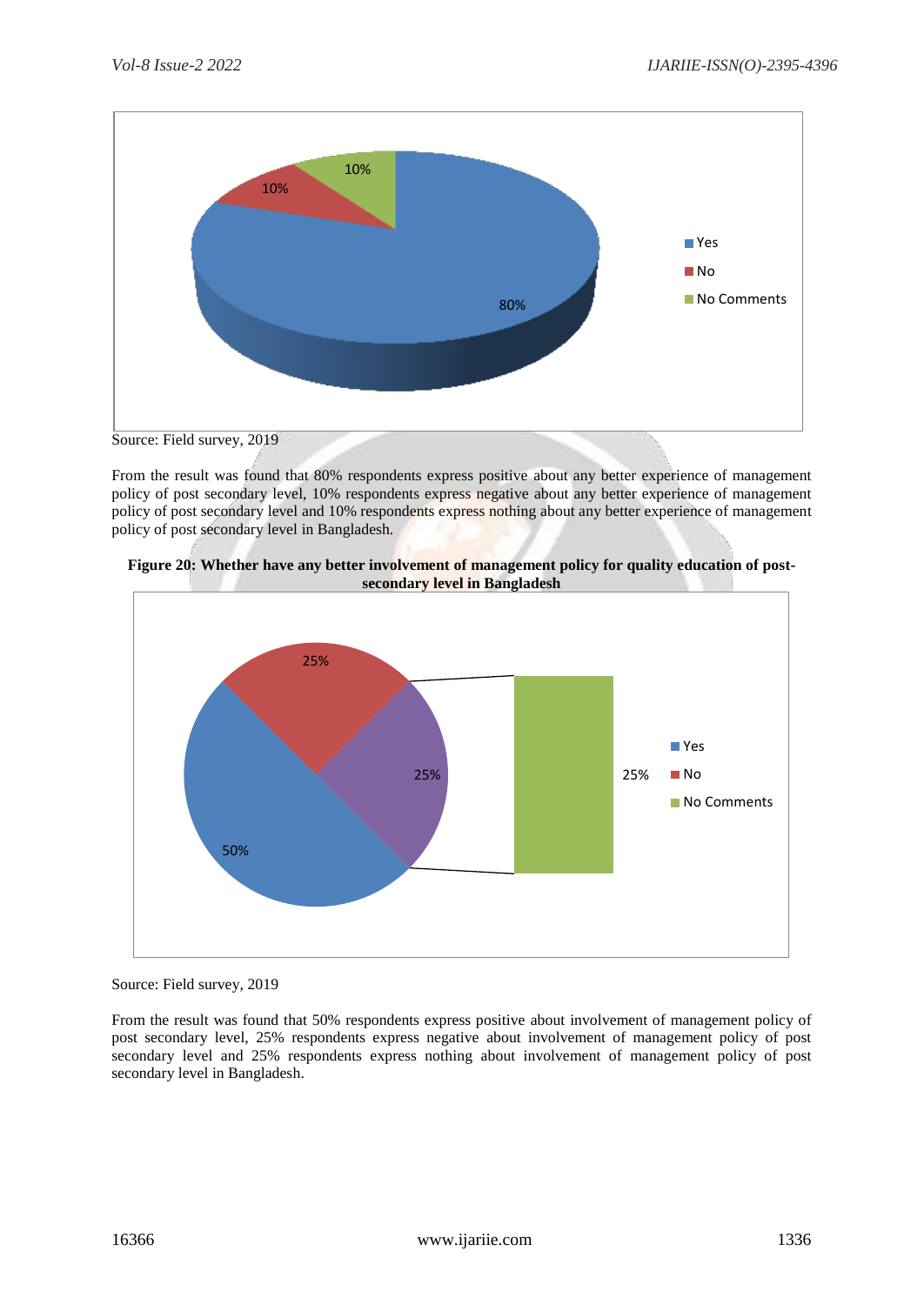

From the result was found that 80% respondents express positive about any better experience of management policy of post secondary level, 10% respondents express negative about any better experience of management policy of post secondary level and 10% respondents express nothing about any better experience of management policy of post secondary level in Bangladesh.





Source: Field survey, 2019

From the result was found that 50% respondents express positive about involvement of management policy of post secondary level, 25% respondents express negative about involvement of management policy of post secondary level and 25% respondents express nothing about involvement of management policy of post secondary level in Bangladesh.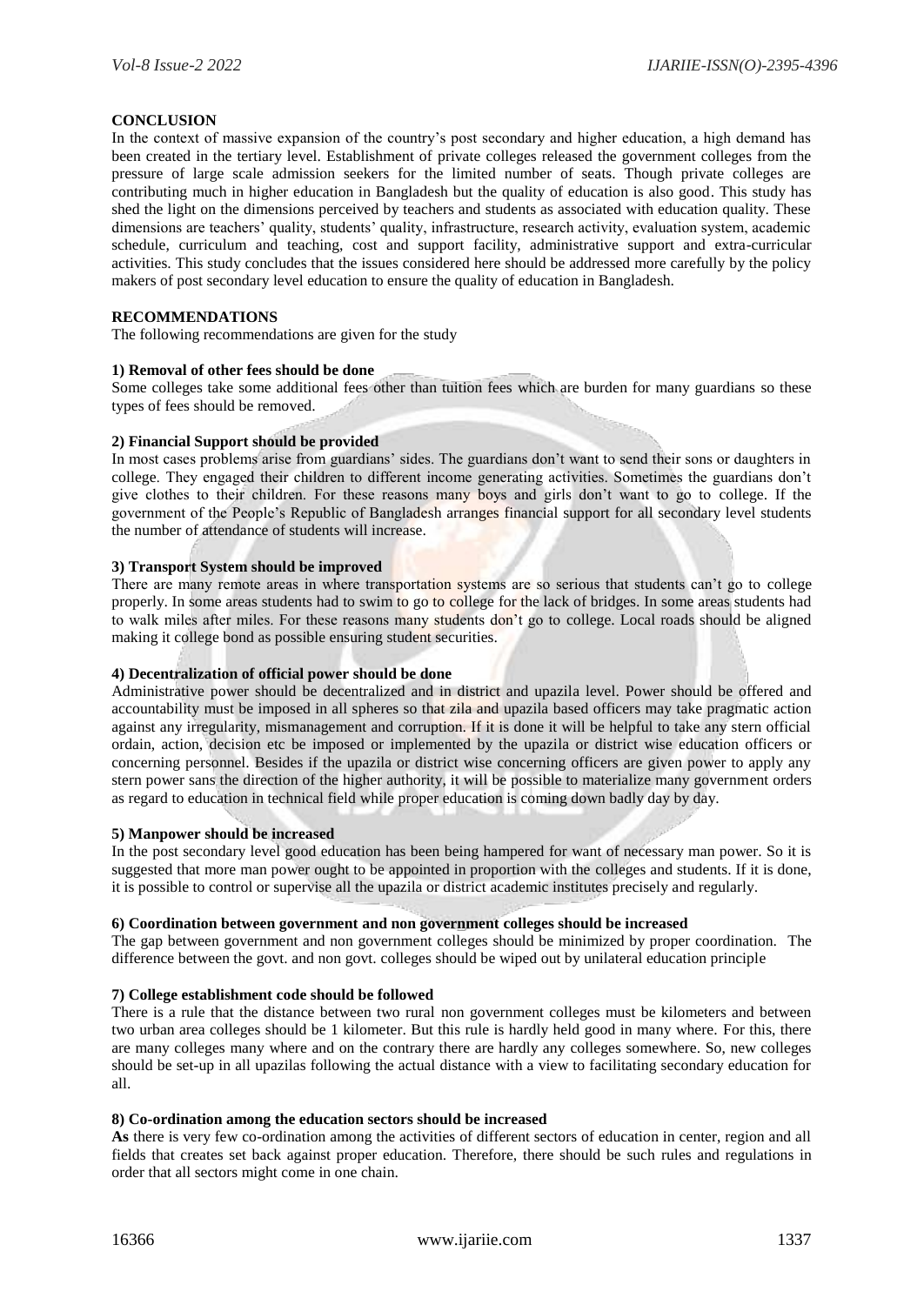# **CONCLUSION**

In the context of massive expansion of the country's post secondary and higher education, a high demand has been created in the tertiary level. Establishment of private colleges released the government colleges from the pressure of large scale admission seekers for the limited number of seats. Though private colleges are contributing much in higher education in Bangladesh but the quality of education is also good. This study has shed the light on the dimensions perceived by teachers and students as associated with education quality. These dimensions are teachers' quality, students' quality, infrastructure, research activity, evaluation system, academic schedule, curriculum and teaching, cost and support facility, administrative support and extra-curricular activities. This study concludes that the issues considered here should be addressed more carefully by the policy makers of post secondary level education to ensure the quality of education in Bangladesh.

# **RECOMMENDATIONS**

The following recommendations are given for the study

# **1) Removal of other fees should be done**

Some colleges take some additional fees other than tuition fees which are burden for many guardians so these types of fees should be removed.

# **2) Financial Support should be provided**

In most cases problems arise from guardians' sides. The guardians don't want to send their sons or daughters in college. They engaged their children to different income generating activities. Sometimes the guardians don't give clothes to their children. For these reasons many boys and girls don't want to go to college. If the government of the People's Republic of Bangladesh arranges financial support for all secondary level students the number of attendance of students will increase.

# **3) Transport System should be improved**

There are many remote areas in where transportation systems are so serious that students can't go to college properly. In some areas students had to swim to go to college for the lack of bridges. In some areas students had to walk miles after miles. For these reasons many students don't go to college. Local roads should be aligned making it college bond as possible ensuring student securities.

# **4) Decentralization of official power should be done**

Administrative power should be decentralized and in district and upazila level. Power should be offered and accountability must be imposed in all spheres so that zila and upazila based officers may take pragmatic action against any irregularity, mismanagement and corruption. If it is done it will be helpful to take any stern official ordain, action, decision etc be imposed or implemented by the upazila or district wise education officers or concerning personnel. Besides if the upazila or district wise concerning officers are given power to apply any stern power sans the direction of the higher authority, it will be possible to materialize many government orders as regard to education in technical field while proper education is coming down badly day by day.

# **5) Manpower should be increased**

In the post secondary level good education has been being hampered for want of necessary man power. So it is suggested that more man power ought to be appointed in proportion with the colleges and students. If it is done, it is possible to control or supervise all the upazila or district academic institutes precisely and regularly.

# **6) Coordination between government and non government colleges should be increased**

The gap between government and non government colleges should be minimized by proper coordination. The difference between the govt. and non govt. colleges should be wiped out by unilateral education principle

#### **7) College establishment code should be followed**

There is a rule that the distance between two rural non government colleges must be kilometers and between two urban area colleges should be 1 kilometer. But this rule is hardly held good in many where. For this, there are many colleges many where and on the contrary there are hardly any colleges somewhere. So, new colleges should be set-up in all upazilas following the actual distance with a view to facilitating secondary education for all.

# **8) Co-ordination among the education sectors should be increased**

**As** there is very few co-ordination among the activities of different sectors of education in center, region and all fields that creates set back against proper education. Therefore, there should be such rules and regulations in order that all sectors might come in one chain.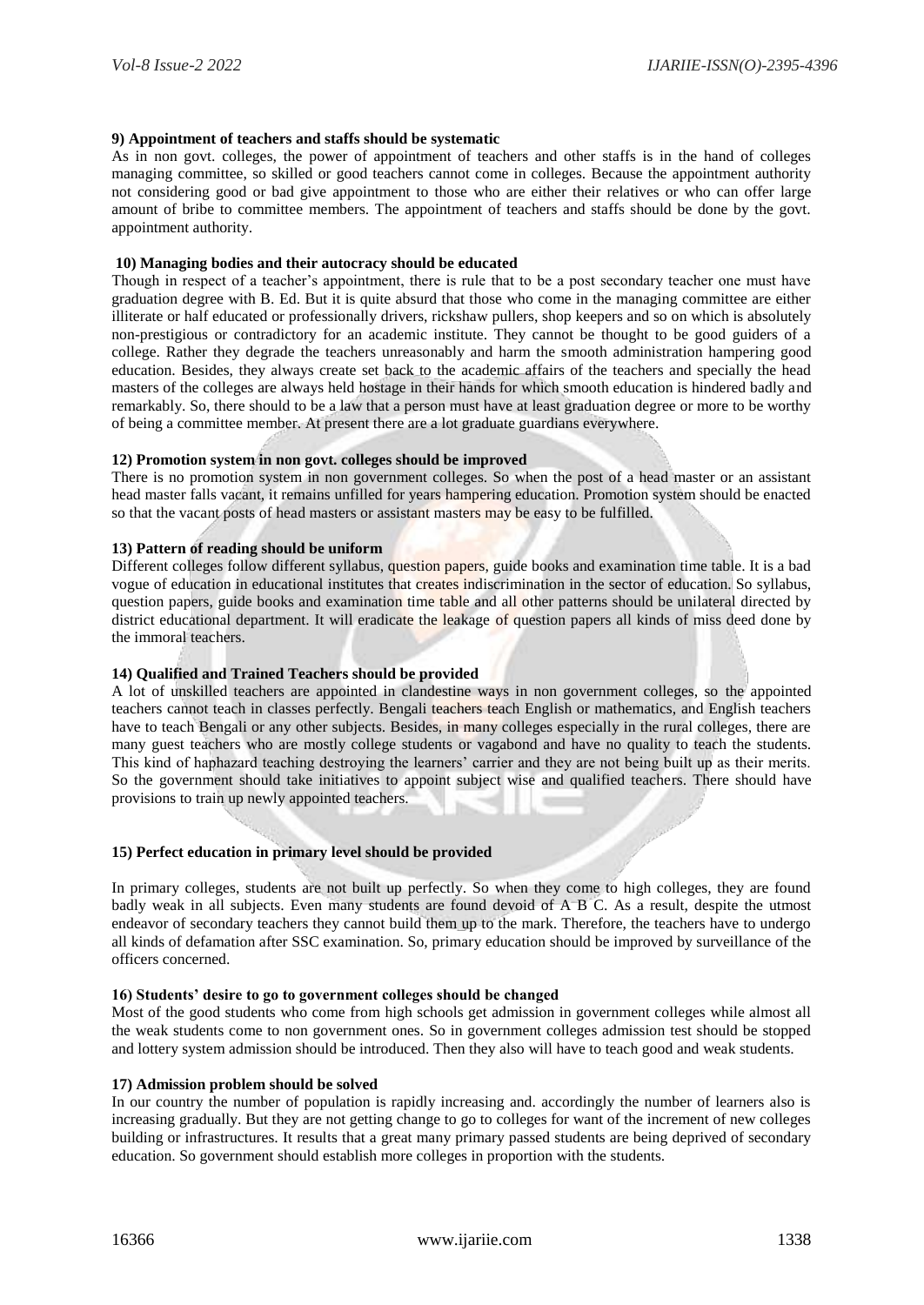# **9) Appointment of teachers and staffs should be systematic**

As in non govt. colleges, the power of appointment of teachers and other staffs is in the hand of colleges managing committee, so skilled or good teachers cannot come in colleges. Because the appointment authority not considering good or bad give appointment to those who are either their relatives or who can offer large amount of bribe to committee members. The appointment of teachers and staffs should be done by the govt. appointment authority.

# **10) Managing bodies and their autocracy should be educated**

Though in respect of a teacher's appointment, there is rule that to be a post secondary teacher one must have graduation degree with B. Ed. But it is quite absurd that those who come in the managing committee are either illiterate or half educated or professionally drivers, rickshaw pullers, shop keepers and so on which is absolutely non-prestigious or contradictory for an academic institute. They cannot be thought to be good guiders of a college. Rather they degrade the teachers unreasonably and harm the smooth administration hampering good education. Besides, they always create set back to the academic affairs of the teachers and specially the head masters of the colleges are always held hostage in their hands for which smooth education is hindered badly and remarkably. So, there should to be a law that a person must have at least graduation degree or more to be worthy of being a committee member. At present there are a lot graduate guardians everywhere.

#### **12) Promotion system in non govt. colleges should be improved**

There is no promotion system in non government colleges. So when the post of a head master or an assistant head master falls vacant, it remains unfilled for years hampering education. Promotion system should be enacted so that the vacant posts of head masters or assistant masters may be easy to be fulfilled.

#### **13) Pattern of reading should be uniform**

Different colleges follow different syllabus, question papers, guide books and examination time table. It is a bad vogue of education in educational institutes that creates indiscrimination in the sector of education. So syllabus, question papers, guide books and examination time table and all other patterns should be unilateral directed by district educational department. It will eradicate the leakage of question papers all kinds of miss deed done by the immoral teachers.

# **14) Qualified and Trained Teachers should be provided**

A lot of unskilled teachers are appointed in clandestine ways in non government colleges, so the appointed teachers cannot teach in classes perfectly. Bengali teachers teach English or mathematics, and English teachers have to teach Bengali or any other subjects. Besides, in many colleges especially in the rural colleges, there are many guest teachers who are mostly college students or vagabond and have no quality to teach the students. This kind of haphazard teaching destroying the learners' carrier and they are not being built up as their merits. So the government should take initiatives to appoint subject wise and qualified teachers. There should have provisions to train up newly appointed teachers.

# **15) Perfect education in primary level should be provided**

In primary colleges, students are not built up perfectly. So when they come to high colleges, they are found badly weak in all subjects. Even many students are found devoid of A B C. As a result, despite the utmost endeavor of secondary teachers they cannot build them up to the mark. Therefore, the teachers have to undergo all kinds of defamation after SSC examination. So, primary education should be improved by surveillance of the officers concerned.

#### **16) Students' desire to go to government colleges should be changed**

Most of the good students who come from high schools get admission in government colleges while almost all the weak students come to non government ones. So in government colleges admission test should be stopped and lottery system admission should be introduced. Then they also will have to teach good and weak students.

#### **17) Admission problem should be solved**

In our country the number of population is rapidly increasing and. accordingly the number of learners also is increasing gradually. But they are not getting change to go to colleges for want of the increment of new colleges building or infrastructures. It results that a great many primary passed students are being deprived of secondary education. So government should establish more colleges in proportion with the students.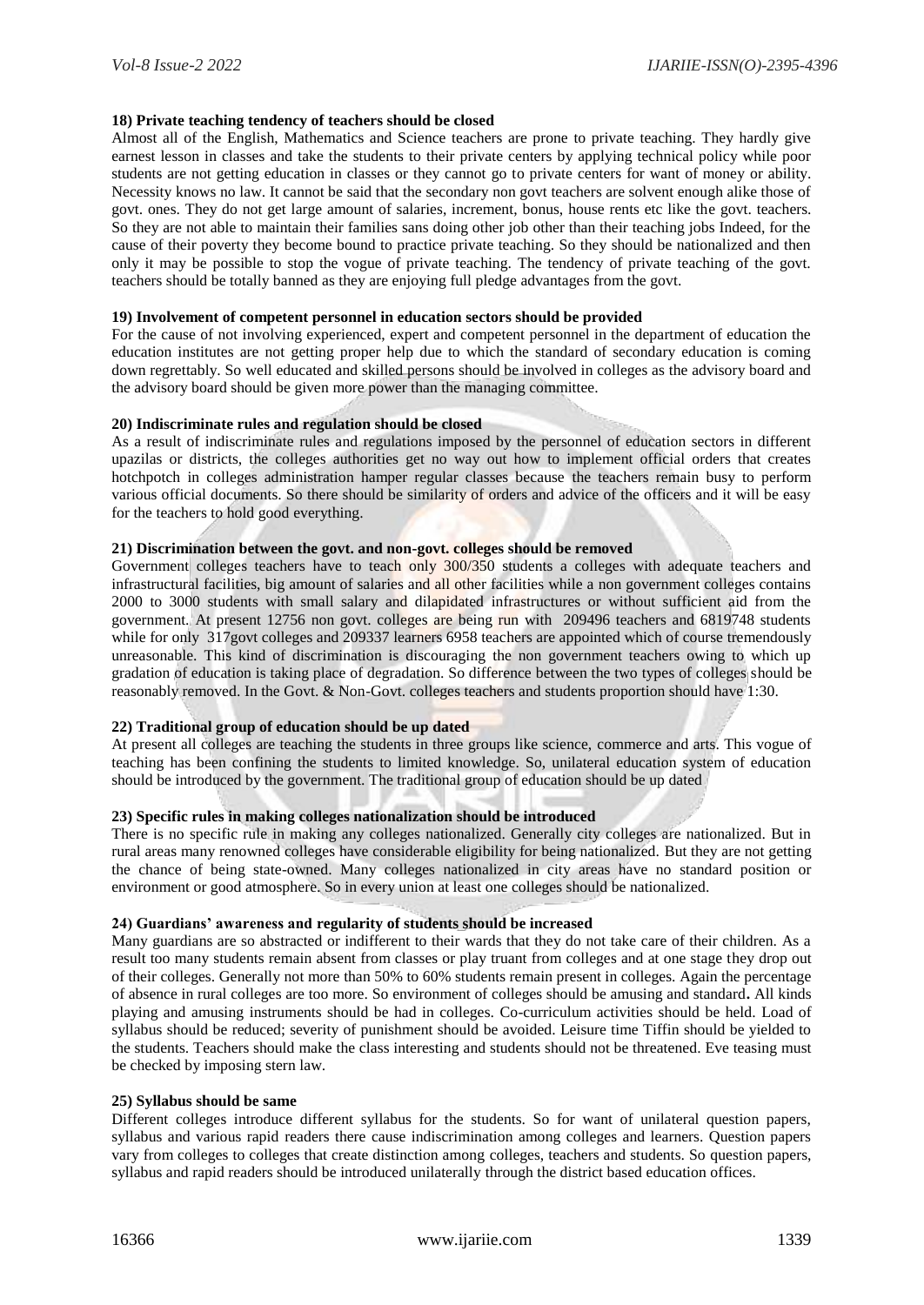# **18) Private teaching tendency of teachers should be closed**

Almost all of the English, Mathematics and Science teachers are prone to private teaching. They hardly give earnest lesson in classes and take the students to their private centers by applying technical policy while poor students are not getting education in classes or they cannot go to private centers for want of money or ability. Necessity knows no law. It cannot be said that the secondary non govt teachers are solvent enough alike those of govt. ones. They do not get large amount of salaries, increment, bonus, house rents etc like the govt. teachers. So they are not able to maintain their families sans doing other job other than their teaching jobs Indeed, for the cause of their poverty they become bound to practice private teaching. So they should be nationalized and then only it may be possible to stop the vogue of private teaching. The tendency of private teaching of the govt. teachers should be totally banned as they are enjoying full pledge advantages from the govt.

## **19) Involvement of competent personnel in education sectors should be provided**

For the cause of not involving experienced, expert and competent personnel in the department of education the education institutes are not getting proper help due to which the standard of secondary education is coming down regrettably. So well educated and skilled persons should be involved in colleges as the advisory board and the advisory board should be given more power than the managing committee.

# **20) Indiscriminate rules and regulation should be closed**

As a result of indiscriminate rules and regulations imposed by the personnel of education sectors in different upazilas or districts, the colleges authorities get no way out how to implement official orders that creates hotchpotch in colleges administration hamper regular classes because the teachers remain busy to perform various official documents. So there should be similarity of orders and advice of the officers and it will be easy for the teachers to hold good everything.

#### **21) Discrimination between the govt. and non-govt. colleges should be removed**

Government colleges teachers have to teach only 300/350 students a colleges with adequate teachers and infrastructural facilities, big amount of salaries and all other facilities while a non government colleges contains 2000 to 3000 students with small salary and dilapidated infrastructures or without sufficient aid from the government. At present 12756 non govt. colleges are being run with 209496 teachers and 6819748 students while for only 317govt colleges and 209337 learners 6958 teachers are appointed which of course tremendously unreasonable. This kind of discrimination is discouraging the non government teachers owing to which up gradation of education is taking place of degradation. So difference between the two types of colleges should be reasonably removed. In the Govt. & Non-Govt. colleges teachers and students proportion should have 1:30.

# **22) Traditional group of education should be up dated**

At present all colleges are teaching the students in three groups like science, commerce and arts. This vogue of teaching has been confining the students to limited knowledge. So, unilateral education system of education should be introduced by the government. The traditional group of education should be up dated

# **23) Specific rules in making colleges nationalization should be introduced**

There is no specific rule in making any colleges nationalized. Generally city colleges are nationalized. But in rural areas many renowned colleges have considerable eligibility for being nationalized. But they are not getting the chance of being state-owned. Many colleges nationalized in city areas have no standard position or environment or good atmosphere. So in every union at least one colleges should be nationalized.

#### **24) Guardians' awareness and regularity of students should be increased**

Many guardians are so abstracted or indifferent to their wards that they do not take care of their children. As a result too many students remain absent from classes or play truant from colleges and at one stage they drop out of their colleges. Generally not more than 50% to 60% students remain present in colleges. Again the percentage of absence in rural colleges are too more. So environment of colleges should be amusing and standard**.** All kinds playing and amusing instruments should be had in colleges. Co-curriculum activities should be held. Load of syllabus should be reduced; severity of punishment should be avoided. Leisure time Tiffin should be yielded to the students. Teachers should make the class interesting and students should not be threatened. Eve teasing must be checked by imposing stern law.

# **25) Syllabus should be same**

Different colleges introduce different syllabus for the students. So for want of unilateral question papers, syllabus and various rapid readers there cause indiscrimination among colleges and learners. Question papers vary from colleges to colleges that create distinction among colleges, teachers and students. So question papers, syllabus and rapid readers should be introduced unilaterally through the district based education offices.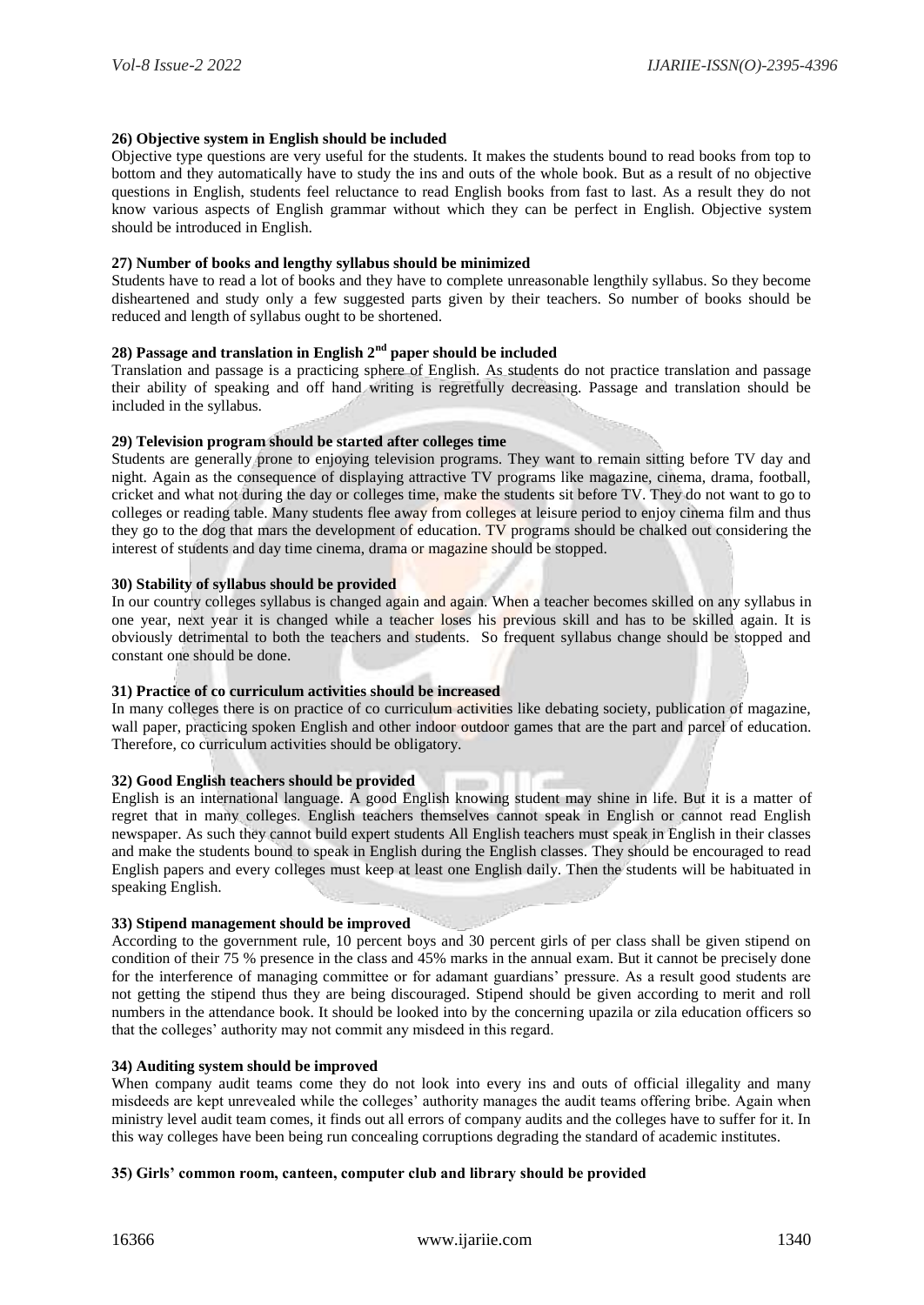# **26) Objective system in English should be included**

Objective type questions are very useful for the students. It makes the students bound to read books from top to bottom and they automatically have to study the ins and outs of the whole book. But as a result of no objective questions in English, students feel reluctance to read English books from fast to last. As a result they do not know various aspects of English grammar without which they can be perfect in English. Objective system should be introduced in English.

## **27) Number of books and lengthy syllabus should be minimized**

Students have to read a lot of books and they have to complete unreasonable lengthily syllabus. So they become disheartened and study only a few suggested parts given by their teachers. So number of books should be reduced and length of syllabus ought to be shortened.

# **28) Passage and translation in English 2nd paper should be included**

Translation and passage is a practicing sphere of English. As students do not practice translation and passage their ability of speaking and off hand writing is regretfully decreasing. Passage and translation should be included in the syllabus.

#### **29) Television program should be started after colleges time**

Students are generally prone to enjoying television programs. They want to remain sitting before TV day and night. Again as the consequence of displaying attractive TV programs like magazine, cinema, drama, football, cricket and what not during the day or colleges time, make the students sit before TV. They do not want to go to colleges or reading table. Many students flee away from colleges at leisure period to enjoy cinema film and thus they go to the dog that mars the development of education. TV programs should be chalked out considering the interest of students and day time cinema, drama or magazine should be stopped.

# **30) Stability of syllabus should be provided**

In our country colleges syllabus is changed again and again. When a teacher becomes skilled on any syllabus in one year, next year it is changed while a teacher loses his previous skill and has to be skilled again. It is obviously detrimental to both the teachers and students. So frequent syllabus change should be stopped and constant one should be done.

# **31) Practice of co curriculum activities should be increased**

In many colleges there is on practice of co curriculum activities like debating society, publication of magazine, wall paper, practicing spoken English and other indoor outdoor games that are the part and parcel of education. Therefore, co curriculum activities should be obligatory.

# **32) Good English teachers should be provided**

English is an international language. A good English knowing student may shine in life. But it is a matter of regret that in many colleges. English teachers themselves cannot speak in English or cannot read English newspaper. As such they cannot build expert students All English teachers must speak in English in their classes and make the students bound to speak in English during the English classes. They should be encouraged to read English papers and every colleges must keep at least one English daily. Then the students will be habituated in speaking English.

#### **33) Stipend management should be improved**

According to the government rule, 10 percent boys and 30 percent girls of per class shall be given stipend on condition of their 75 % presence in the class and 45% marks in the annual exam. But it cannot be precisely done for the interference of managing committee or for adamant guardians' pressure. As a result good students are not getting the stipend thus they are being discouraged. Stipend should be given according to merit and roll numbers in the attendance book. It should be looked into by the concerning upazila or zila education officers so that the colleges' authority may not commit any misdeed in this regard.

# **34) Auditing system should be improved**

When company audit teams come they do not look into every ins and outs of official illegality and many misdeeds are kept unrevealed while the colleges' authority manages the audit teams offering bribe. Again when ministry level audit team comes, it finds out all errors of company audits and the colleges have to suffer for it. In this way colleges have been being run concealing corruptions degrading the standard of academic institutes.

# **35) Girls' common room, canteen, computer club and library should be provided**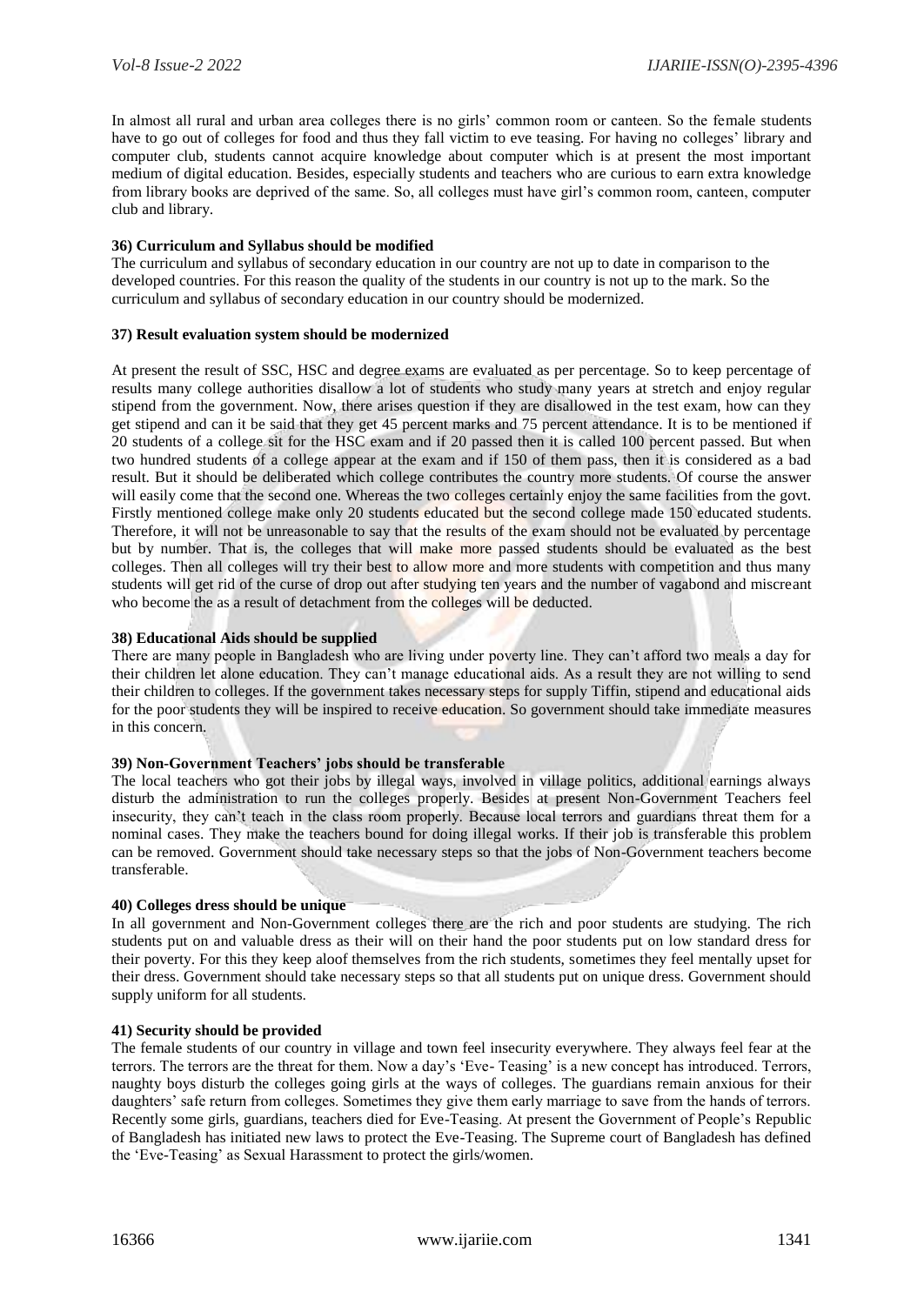In almost all rural and urban area colleges there is no girls' common room or canteen. So the female students have to go out of colleges for food and thus they fall victim to eve teasing. For having no colleges' library and computer club, students cannot acquire knowledge about computer which is at present the most important medium of digital education. Besides, especially students and teachers who are curious to earn extra knowledge from library books are deprived of the same. So, all colleges must have girl's common room, canteen, computer club and library.

# **36) Curriculum and Syllabus should be modified**

The curriculum and syllabus of secondary education in our country are not up to date in comparison to the developed countries. For this reason the quality of the students in our country is not up to the mark. So the curriculum and syllabus of secondary education in our country should be modernized.

# **37) Result evaluation system should be modernized**

At present the result of SSC, HSC and degree exams are evaluated as per percentage. So to keep percentage of results many college authorities disallow a lot of students who study many years at stretch and enjoy regular stipend from the government. Now, there arises question if they are disallowed in the test exam, how can they get stipend and can it be said that they get 45 percent marks and 75 percent attendance. It is to be mentioned if 20 students of a college sit for the HSC exam and if 20 passed then it is called 100 percent passed. But when two hundred students of a college appear at the exam and if 150 of them pass, then it is considered as a bad result. But it should be deliberated which college contributes the country more students. Of course the answer will easily come that the second one. Whereas the two colleges certainly enjoy the same facilities from the govt. Firstly mentioned college make only 20 students educated but the second college made 150 educated students. Therefore, it will not be unreasonable to say that the results of the exam should not be evaluated by percentage but by number. That is, the colleges that will make more passed students should be evaluated as the best colleges. Then all colleges will try their best to allow more and more students with competition and thus many students will get rid of the curse of drop out after studying ten years and the number of vagabond and miscreant who become the as a result of detachment from the colleges will be deducted.

# **38) Educational Aids should be supplied**

There are many people in Bangladesh who are living under poverty line. They can't afford two meals a day for their children let alone education. They can't manage educational aids. As a result they are not willing to send their children to colleges. If the government takes necessary steps for supply Tiffin, stipend and educational aids for the poor students they will be inspired to receive education. So government should take immediate measures in this concern.

# **39) Non-Government Teachers' jobs should be transferable**

The local teachers who got their jobs by illegal ways, involved in village politics, additional earnings always disturb the administration to run the colleges properly. Besides at present Non-Government Teachers feel insecurity, they can't teach in the class room properly. Because local terrors and guardians threat them for a nominal cases. They make the teachers bound for doing illegal works. If their job is transferable this problem can be removed. Government should take necessary steps so that the jobs of Non-Government teachers become transferable.

# **40) Colleges dress should be unique**

In all government and Non-Government colleges there are the rich and poor students are studying. The rich students put on and valuable dress as their will on their hand the poor students put on low standard dress for their poverty. For this they keep aloof themselves from the rich students, sometimes they feel mentally upset for their dress. Government should take necessary steps so that all students put on unique dress. Government should supply uniform for all students.

# **41) Security should be provided**

The female students of our country in village and town feel insecurity everywhere. They always feel fear at the terrors. The terrors are the threat for them. Now a day's 'Eve- Teasing' is a new concept has introduced. Terrors, naughty boys disturb the colleges going girls at the ways of colleges. The guardians remain anxious for their daughters' safe return from colleges. Sometimes they give them early marriage to save from the hands of terrors. Recently some girls, guardians, teachers died for Eve-Teasing. At present the Government of People's Republic of Bangladesh has initiated new laws to protect the Eve-Teasing. The Supreme court of Bangladesh has defined the 'Eve-Teasing' as Sexual Harassment to protect the girls/women.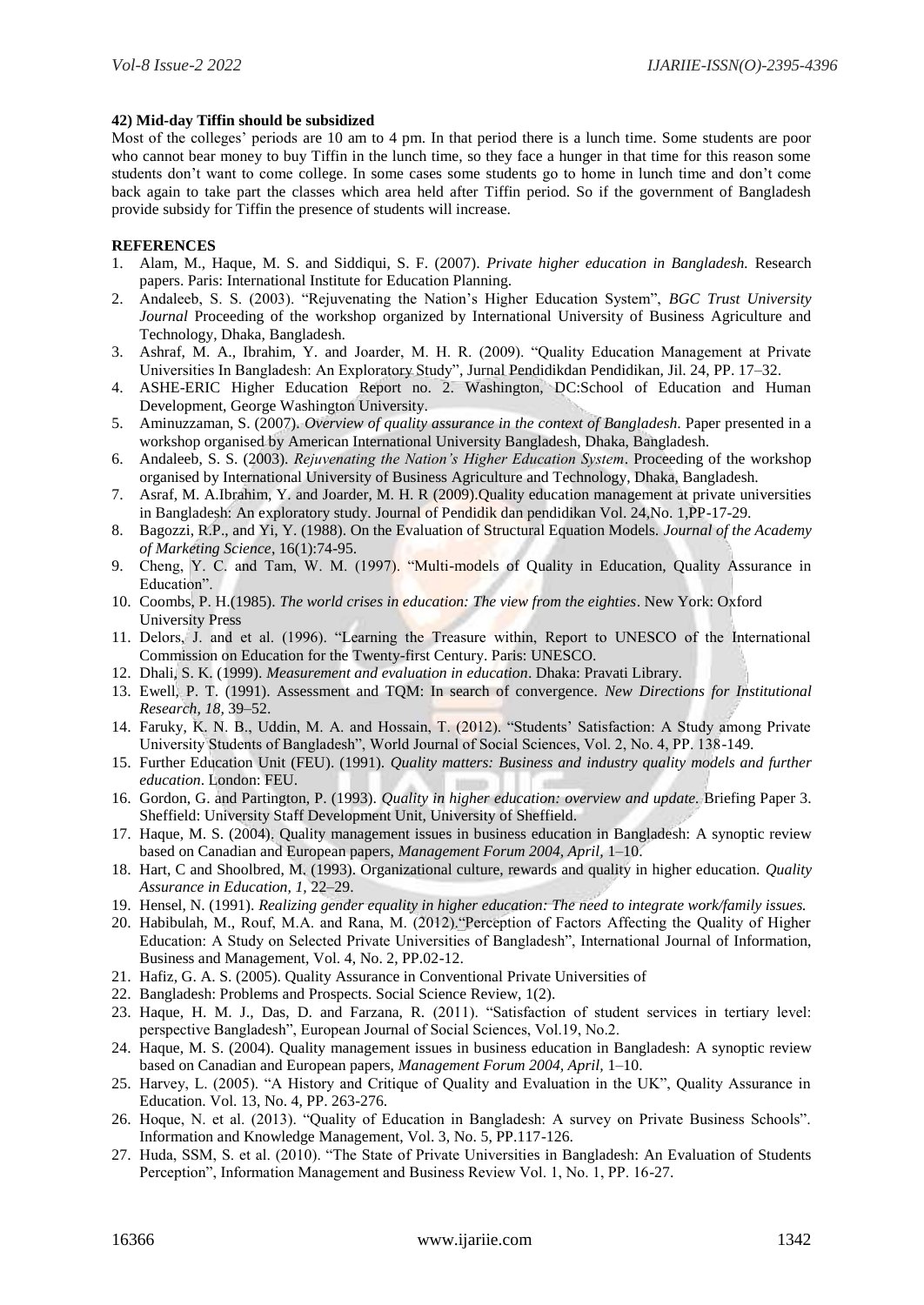# **42) Mid-day Tiffin should be subsidized**

Most of the colleges' periods are 10 am to 4 pm. In that period there is a lunch time. Some students are poor who cannot bear money to buy Tiffin in the lunch time, so they face a hunger in that time for this reason some students don't want to come college. In some cases some students go to home in lunch time and don't come back again to take part the classes which area held after Tiffin period. So if the government of Bangladesh provide subsidy for Tiffin the presence of students will increase.

# **REFERENCES**

- 1. Alam, M., Haque, M. S. and Siddiqui, S. F. (2007). *Private higher education in Bangladesh.* Research papers. Paris: International Institute for Education Planning.
- 2. Andaleeb, S. S. (2003). "Rejuvenating the Nation's Higher Education System", *BGC Trust University Journal* Proceeding of the workshop organized by International University of Business Agriculture and Technology, Dhaka, Bangladesh.
- 3. Ashraf, M. A., Ibrahim, Y. and Joarder, M. H. R. (2009). "Quality Education Management at Private Universities In Bangladesh: An Exploratory Study", Jurnal Pendidikdan Pendidikan, Jil. 24, PP. 17–32.
- 4. ASHE-ERIC Higher Education Report no. 2. Washington, DC:School of Education and Human Development, George Washington University.
- 5. Aminuzzaman, S. (2007). *Overview of quality assurance in the context of Bangladesh*. Paper presented in a workshop organised by American International University Bangladesh, Dhaka, Bangladesh.
- 6. Andaleeb, S. S. (2003). *Rejuvenating the Nation's Higher Education System*. Proceeding of the workshop organised by International University of Business Agriculture and Technology, Dhaka, Bangladesh.
- 7. Asraf, M. A.Ibrahim, Y. and Joarder, M. H. R (2009).Quality education management at private universities in Bangladesh: An exploratory study. Journal of Pendidik dan pendidikan Vol. 24,No. 1,PP-17-29.
- 8. Bagozzi, R.P., and Yi, Y. (1988). On the Evaluation of Structural Equation Models. *Journal of the Academy of Marketing Science*, 16(1):74-95.
- 9. Cheng, Y. C. and Tam, W. M. (1997). "Multi-models of Quality in Education, Quality Assurance in Education".
- 10. Coombs, P. H.(1985). *The world crises in education: The view from the eighties*. New York: Oxford University Press
- 11. Delors, J. and et al. (1996). "Learning the Treasure within, Report to UNESCO of the International Commission on Education for the Twenty-first Century. Paris: UNESCO.
- 12. Dhali, S. K. (1999). *Measurement and evaluation in education*. Dhaka: Pravati Library.
- 13. Ewell, P. T. (1991). Assessment and TQM: In search of convergence. *New Directions for Institutional Research, 18,* 39–52.
- 14. Faruky, K. N. B., Uddin, M. A. and Hossain, T. (2012). "Students' Satisfaction: A Study among Private University Students of Bangladesh", World Journal of Social Sciences, Vol. 2, No. 4, PP. 138-149.
- 15. Further Education Unit (FEU). (1991). *Quality matters: Business and industry quality models and further education*. London: FEU.
- 16. Gordon, G. and Partington, P. (1993). *Quality in higher education: overview and update.* Briefing Paper 3. Sheffield: University Staff Development Unit, University of Sheffield.
- 17. Haque, M. S. (2004). Quality management issues in business education in Bangladesh: A synoptic review based on Canadian and European papers, *Management Forum 2004, April,* 1–10.
- 18. Hart, C and Shoolbred, M. (1993). Organizational culture, rewards and quality in higher education. *Quality Assurance in Education, 1,* 22–29.
- 19. Hensel, N. (1991). *Realizing gender equality in higher education: The need to integrate work/family issues.*
- 20. Habibulah, M., Rouf, M.A. and Rana, M. (2012)."Perception of Factors Affecting the Quality of Higher Education: A Study on Selected Private Universities of Bangladesh", International Journal of Information, Business and Management, Vol. 4, No. 2, PP.02-12.
- 21. Hafiz, G. A. S. (2005). Quality Assurance in Conventional Private Universities of
- 22. Bangladesh: Problems and Prospects. Social Science Review, 1(2).
- 23. Haque, H. M. J., Das, D. and Farzana, R. (2011). "Satisfaction of student services in tertiary level: perspective Bangladesh", European Journal of Social Sciences, Vol.19, No.2.
- 24. Haque, M. S. (2004). Quality management issues in business education in Bangladesh: A synoptic review based on Canadian and European papers, *Management Forum 2004, April,* 1–10.
- 25. Harvey, L. (2005). "A History and Critique of Quality and Evaluation in the UK", Quality Assurance in Education. Vol. 13, No. 4, PP. 263-276.
- 26. Hoque, N. et al. (2013). "Quality of Education in Bangladesh: A survey on Private Business Schools". Information and Knowledge Management, Vol. 3, No. 5, PP.117-126.
- 27. Huda, SSM, S. et al. (2010). "The State of Private Universities in Bangladesh: An Evaluation of Students Perception", Information Management and Business Review Vol. 1, No. 1, PP. 16-27.